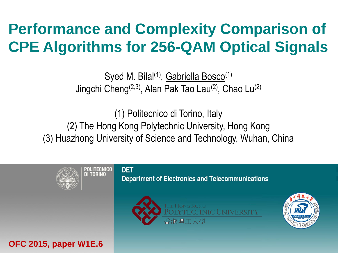# **Performance and Complexity Comparison of CPE Algorithms for 256-QAM Optical Signals**

Syed M. Bilal<sup>(1)</sup>, Gabriella Bosco<sup>(1)</sup> Jingchi Cheng(2,3), Alan Pak Tao Lau(2), Chao Lu(2)

(1) Politecnico di Torino, Italy (2) The Hong Kong Polytechnic University, Hong Kong (3) Huazhong University of Science and Technology, Wuhan, China



POLITECNICO II TORINO

#### **DET Department of Electronics and Telecommunications**





**OFC 2015, paper W1E.6**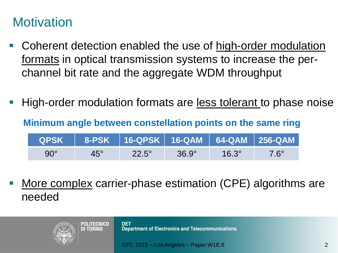#### **Motivation**

- Coherent detection enabled the use of high-order modulation formats in optical transmission systems to increase the perchannel bit rate and the aggregate WDM throughput
- High-order modulation formats are less tolerant to phase noise

**Minimum angle between constellation points on the same ring**

| <b>QPSK</b> |            | 8-PSK    16-QPSK    16-QAM    64-QAM    256-QAM |              |              |             |
|-------------|------------|-------------------------------------------------|--------------|--------------|-------------|
| $90^\circ$  | $45^\circ$ | $22.5^\circ$                                    | $36.9^\circ$ | $16.3^\circ$ | $7.6^\circ$ |

 More complex carrier-phase estimation (CPE) algorithms are needed

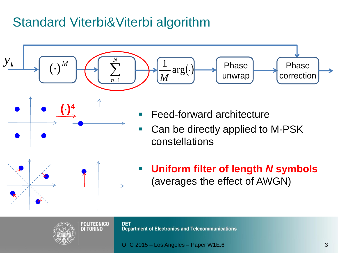#### Standard Viterbi&Viterbi algorithm

**DI TORINO** 



**DET Department of Electronics and Telecommunications**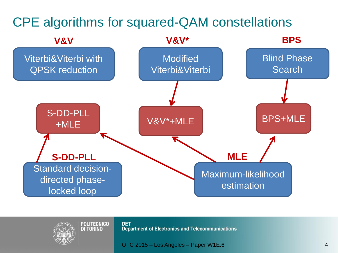



**DET Department of Electronics and Telecommunications**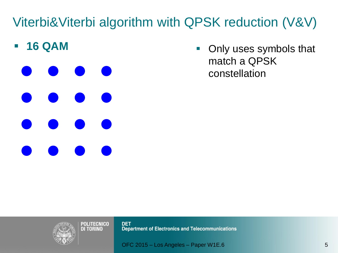**16 QAM**

**• Only uses symbols that** match a QPSK constellation



**DET** Department of Electronics and Telecommunications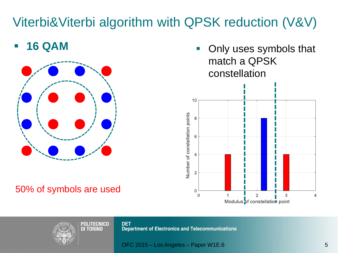#### **16 QAM**



#### 50% of symbols are used

**• Only uses symbols that** match a QPSK constellation





**DET Department of Electronics and Telecommunications**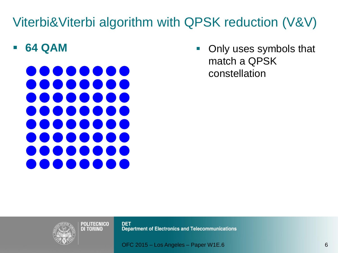**64 QAM**



• Only uses symbols that match a QPSK constellation



**DET** Department of Electronics and Telecommunications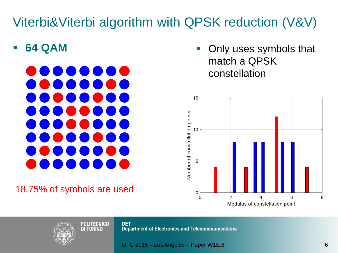**64 QAM**



#### 18.75% of symbols are used

**• Only uses symbols that** match a QPSK constellation





**DET Department of Electronics and Telecommunications**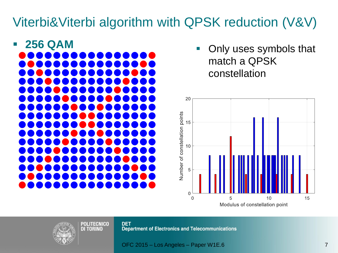

**• Only uses symbols that** match a QPSK constellation





**DET Department of Electronics and Telecommunications**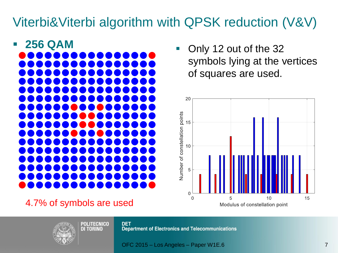

4.7% of symbols are used

**POLITECNICO DI TORINO** 

• Only 12 out of the 32 symbols lying at the vertices of squares are used.





**DET Department of Electronics and Telecommunications**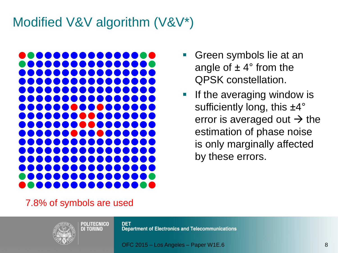## Modified V&V algorithm (V&V\*)



- Green symbols lie at an angle of  $\pm 4^{\circ}$  from the QPSK constellation.
- **If the averaging window is** sufficiently long, this ±4° error is averaged out  $\rightarrow$  the estimation of phase noise is only marginally affected by these errors.

7.8% of symbols are used



**DET Department of Electronics and Telecommunications**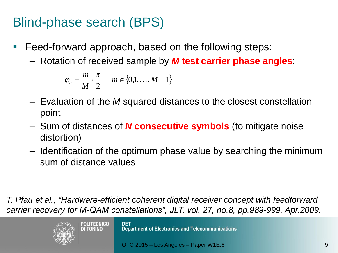## Blind-phase search (BPS)

- Feed-forward approach, based on the following steps:
	- Rotation of received sample by *M* **test carrier phase angles**:

$$
\varphi_b = \frac{m}{M} \cdot \frac{\pi}{2} \qquad m \in \{0, 1, \dots, M - 1\}
$$

- Evaluation of the *M* squared distances to the closest constellation point
- Sum of distances of *N* **consecutive symbols** (to mitigate noise distortion)
- Identification of the optimum phase value by searching the minimum sum of distance values

*T. Pfau et al., "Hardware-efficient coherent digital receiver concept with feedforward carrier recovery for M-QAM constellations", JLT, vol. 27, no.8, pp.989-999, Apr.2009.*



**DET Department of Electronics and Telecommunications**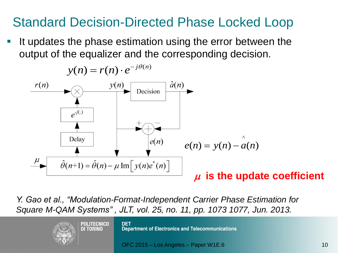#### Standard Decision-Directed Phase Locked Loop

 It updates the phase estimation using the error between the output of the equalizer and the corresponding decision.



*Y. Gao et al., "Modulation-Format-Independent Carrier Phase Estimation for Square M-QAM Systems" , JLT, vol. 25, no. 11, pp. 1073 1077, Jun. 2013.*

> **POLITECNICO** DI TORINO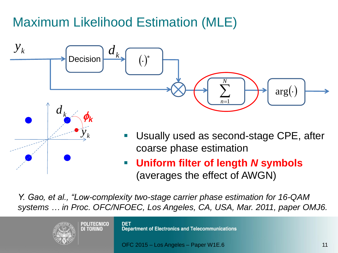# Maximum Likelihood Estimation (MLE)



*Y. Gao, et al., "Low-complexity two-stage carrier phase estimation for 16-QAM systems … in Proc. OFC/NFOEC, Los Angeles, CA, USA, Mar. 2011, paper OMJ6.*

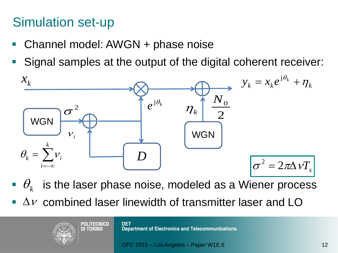#### Simulation set-up

- Channel model: AWGN + phase noise
- Signal samples at the output of the digital coherent receiver:



- $\bullet$   $\theta_k$  is the laser phase noise, modeled as a Wiener process
- $\Delta v$  combined laser linewidth of transmitter laser and LO

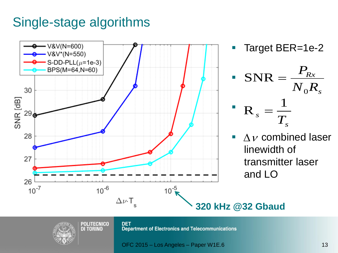#### Single-stage algorithms





**DET Department of Electronics and Telecommunications**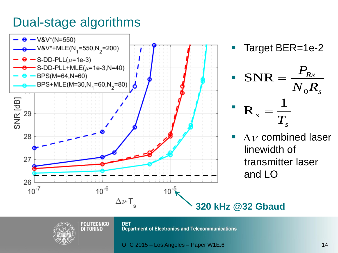#### Dual-stage algorithms









**POLITECNICO DI TORINO** 

**DET Department of Electronics and Telecommunications** 

OFC 2015 – Los Angeles – Paper W1E.6 14

*s*

 $\overline{N^{}_0 R^{}_s}$ 

 $P_{Rx}$ 

*Rx*

 $\mathbf{0}$  $\mathbf{V}_s$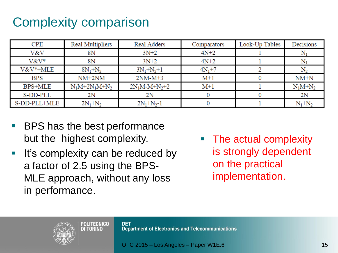## Complexity comparison

| <b>CPE</b>     | <b>Real Multipliers</b> | Real Adders      | Comparators | Look-Up Tables | Decisions          |
|----------------|-------------------------|------------------|-------------|----------------|--------------------|
| V&V            | 8Ν                      | $3N+2$           | $4N+2$      |                |                    |
| V&V*           | 8Ν                      | $3N+2$           | $4N+2$      |                | $\mathrm{N}_1$     |
| V&V*+MLE       | $8N_1 + N_2$            | $3N_1 + N_2 + 1$ | $4N_1+7$    |                | N,                 |
| <b>BPS</b>     | $NM+2NM$                | $2NM-M+3$        | $M+1$       |                | $NM+N$             |
| <b>BPS+MLE</b> | $N_1M+2N_1M+N_2$        | $2N_1M-M+N_2+2$  | $M+1$       |                | $N_1M + N_2$       |
| S-DD-PLL       | 2Ν                      | 2N               |             |                | 2N                 |
| S-DD-PLL+MLE   | $2N_1+N_2$              | $2N_1+N_2-1$     |             |                | $\rm N_1\rm{+}N_2$ |

- BPS has the best performance but the highest complexity.
- **It's complexity can be reduced by** a factor of 2.5 using the BPS-MLE approach, without any loss in performance.

POLITECNICO **DI TORINO** 

**The actual complexity** is strongly dependent on the practical implementation.



**DET Department of Electronics and Telecommunications**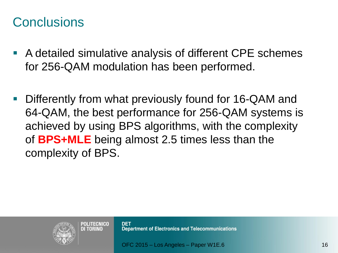#### **Conclusions**

- A detailed simulative analysis of different CPE schemes for 256-QAM modulation has been performed.
- Differently from what previously found for 16-QAM and 64-QAM, the best performance for 256-QAM systems is achieved by using BPS algorithms, with the complexity of **BPS+MLE** being almost 2.5 times less than the complexity of BPS.



POLITECNICO

**DI TORINO** 

**DET Department of Electronics and Telecommunications**